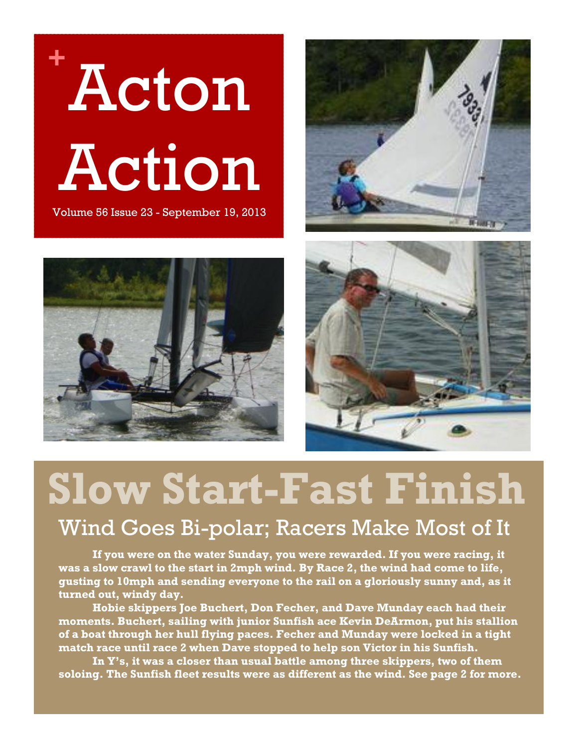







# **Slow Start-Fast Finish**

### Wind Goes Bi-polar; Racers Make Most of It

**If you were on the water Sunday, you were rewarded. If you were racing, it was a slow crawl to the start in 2mph wind. By Race 2, the wind had come to life, gusting to 10mph and sending everyone to the rail on a gloriously sunny and, as it turned out, windy day.** 

**Hobie skippers Joe Buchert, Don Fecher, and Dave Munday each had their moments. Buchert, sailing with junior Sunfish ace Kevin DeArmon, put his stallion of a boat through her hull flying paces. Fecher and Munday were locked in a tight match race until race 2 when Dave stopped to help son Victor in his Sunfish.** 

**In Y's, it was a closer than usual battle among three skippers, two of them soloing. The Sunfish fleet results were as different as the wind. See page 2 for more.**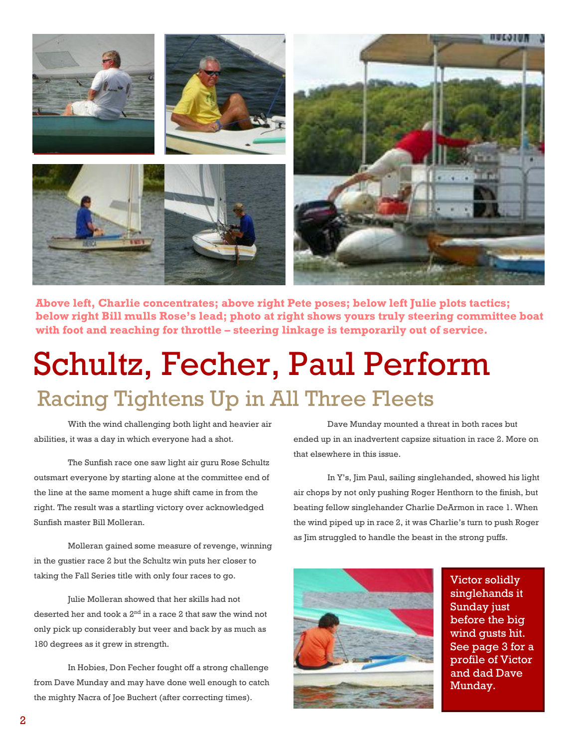

**Above left, Charlie concentrates; above right Pete poses; below left Julie plots tactics; below right Bill mulls Rose's lead; photo at right shows yours truly steering committee boat with foot and reaching for throttle – steering linkage is temporarily out of service.**

## Schultz, Fecher, Paul Perform Racing Tightens Up in All Three Fleets

With the wind challenging both light and heavier air abilities, it was a day in which everyone had a shot.

The Sunfish race one saw light air guru Rose Schultz outsmart everyone by starting alone at the committee end of the line at the same moment a huge shift came in from the right. The result was a startling victory over acknowledged Sunfish master Bill Molleran.

Molleran gained some measure of revenge, winning in the gustier race 2 but the Schultz win puts her closer to taking the Fall Series title with only four races to go.

Julie Molleran showed that her skills had not deserted her and took a  $2<sup>nd</sup>$  in a race 2 that saw the wind not only pick up considerably but veer and back by as much as 180 degrees as it grew in strength.

In Hobies, Don Fecher fought off a strong challenge from Dave Munday and may have done well enough to catch the mighty Nacra of Joe Buchert (after correcting times).

Dave Munday mounted a threat in both races but ended up in an inadvertent capsize situation in race 2. More on that elsewhere in this issue.

In Y's, Jim Paul, sailing singlehanded, showed his light air chops by not only pushing Roger Henthorn to the finish, but beating fellow singlehander Charlie DeArmon in race 1. When the wind piped up in race 2, it was Charlie's turn to push Roger as Jim struggled to handle the beast in the strong puffs.



Victor solidly singlehands it Sunday just before the big wind gusts hit. See page 3 for a profile of Victor and dad Dave Munday.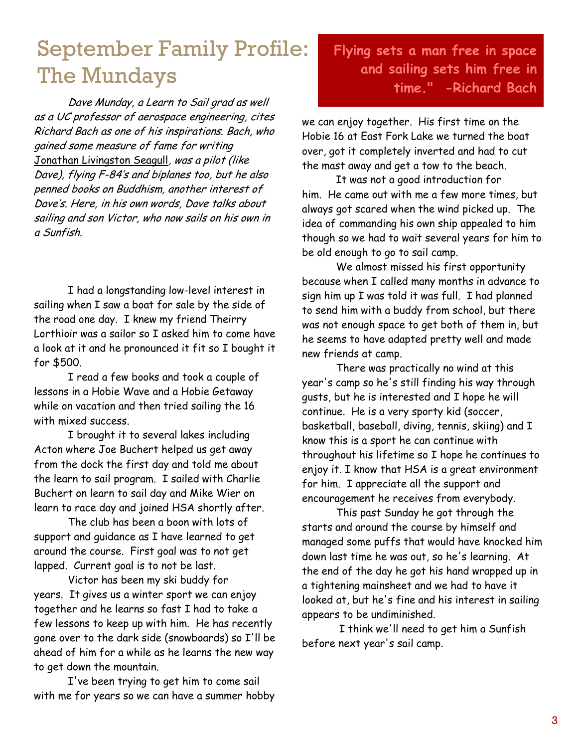## September Family Profile: The Mundays

Dave Munday, a Learn to Sail grad as well as a UC professor of aerospace engineering, cites Richard Bach as one of his inspirations. Bach, who gained some measure of fame for writing Jonathan Livingston Seagull, was a pilot (like Dave), flying F-84's and biplanes too, but he also penned books on Buddhism, another interest of Dave's. Here, in his own words, Dave talks about sailing and son Victor, who now sails on his own in a Sunfish.

I had a longstanding low-level interest in sailing when I saw a boat for sale by the side of the road one day. I knew my friend Theirry Lorthioir was a sailor so I asked him to come have a look at it and he pronounced it fit so I bought it for \$500.

I read a few books and took a couple of lessons in a Hobie Wave and a Hobie Getaway while on vacation and then tried sailing the 16 with mixed success.

I brought it to several lakes including Acton where Joe Buchert helped us get away from the dock the first day and told me about the learn to sail program. I sailed with Charlie Buchert on learn to sail day and Mike Wier on learn to race day and joined HSA shortly after.

The club has been a boon with lots of support and guidance as I have learned to get around the course. First goal was to not get lapped. Current goal is to not be last.

Victor has been my ski buddy for years. It gives us a winter sport we can enjoy together and he learns so fast I had to take a few lessons to keep up with him. He has recently gone over to the dark side (snowboards) so I'll be ahead of him for a while as he learns the new way to get down the mountain.

I've been trying to get him to come sail with me for years so we can have a summer hobby

### **Flying sets a man free in space and sailing sets him free in time." -Richard Bach**

we can enjoy together. His first time on the Hobie 16 at East Fork Lake we turned the boat over, got it completely inverted and had to cut the mast away and get a tow to the beach.

It was not a good introduction for him. He came out with me a few more times, but always got scared when the wind picked up. The idea of commanding his own ship appealed to him though so we had to wait several years for him to be old enough to go to sail camp.

We almost missed his first opportunity because when I called many months in advance to sign him up I was told it was full. I had planned to send him with a buddy from school, but there was not enough space to get both of them in, but he seems to have adapted pretty well and made new friends at camp.

There was practically no wind at this year's camp so he's still finding his way through gusts, but he is interested and I hope he will continue. He is a very sporty kid (soccer, basketball, baseball, diving, tennis, skiing) and I know this is a sport he can continue with throughout his lifetime so I hope he continues to enjoy it. I know that HSA is a great environment for him. I appreciate all the support and encouragement he receives from everybody.

This past Sunday he got through the starts and around the course by himself and managed some puffs that would have knocked him down last time he was out, so he's learning. At the end of the day he got his hand wrapped up in a tightening mainsheet and we had to have it looked at, but he's fine and his interest in sailing appears to be undiminished.

I think we'll need to get him a Sunfish before next year's sail camp.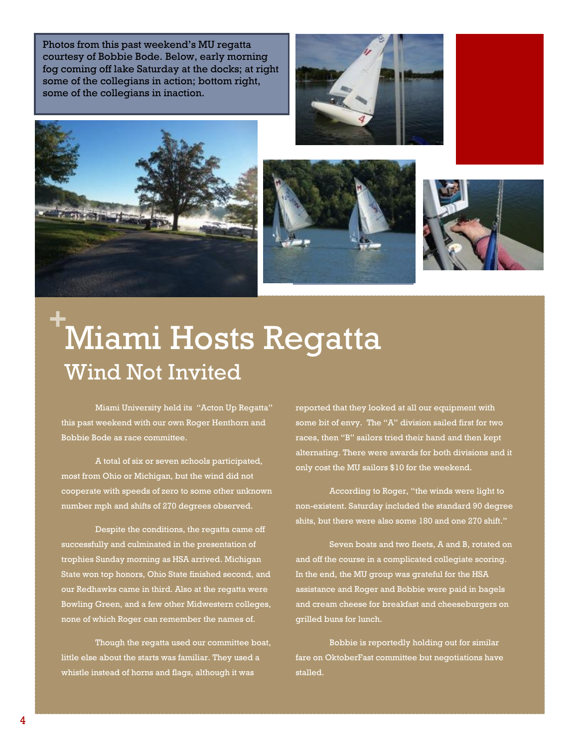Photos from this past weekend's MU regatta courtesy of Bobbie Bode. Below, early morning fog coming off lake Saturday at the docks; at right some of the collegians in action; bottom right, some of the collegians in inaction.









## **<sup>+</sup>**Miami Hosts Regatta Wind Not Invited

Miami University held its "Acton Up Regatta" this past weekend with our own Roger Henthorn and Bobbie Bode as race committee.

A total of six or seven schools participated, most from Ohio or Michigan, but the wind did not cooperate with speeds of zero to some other unknown number mph and shifts of 270 degrees observed.

Despite the conditions, the regatta came off successfully and culminated in the presentation of trophies Sunday morning as HSA arrived. Michigan State won top honors, Ohio State finished second, and our Redhawks came in third. Also at the regatta were Bowling Green, and a few other Midwestern colleges, none of which Roger can remember the names of.

Though the regatta used our committee boat, little else about the starts was familiar. They used a whistle instead of horns and flags, although it was

reported that they looked at all our equipment with some bit of envy. The "A" division sailed first for two races, then "B" sailors tried their hand and then kept alternating. There were awards for both divisions and it only cost the MU sailors \$10 for the weekend.

According to Roger, "the winds were light to non-existent. Saturday included the standard 90 degree shits, but there were also some 180 and one 270 shift."

Seven boats and two fleets, A and B, rotated on and off the course in a complicated collegiate scoring. In the end, the MU group was grateful for the HSA assistance and Roger and Bobbie were paid in bagels and cream cheese for breakfast and cheeseburgers on grilled buns for lunch.

Bobbie is reportedly holding out for similar fare on OktoberFast committee but negotiations have stalled.